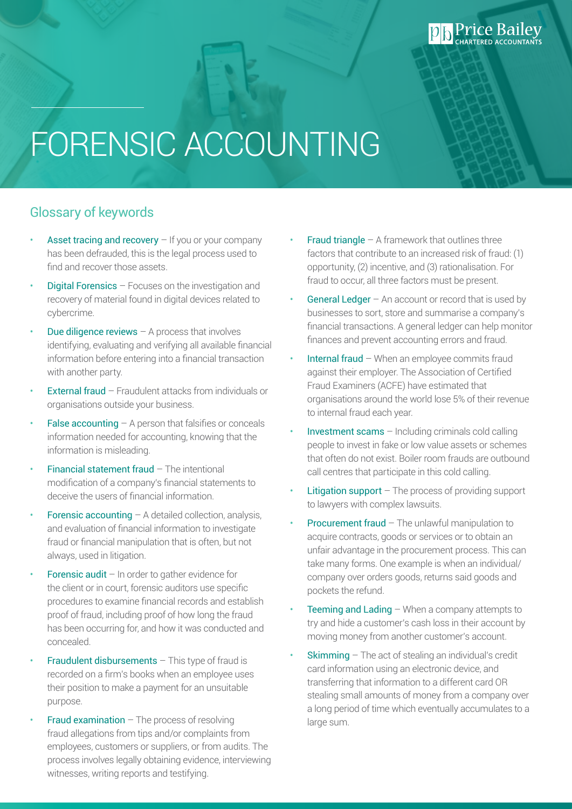# FORENSIC ACCOUNTING

#### Glossary of keywords

- Asset tracing and recovery  $-$  If you or your company has been defrauded, this is the legal process used to find and recover those assets.
- Digital Forensics Focuses on the investigation and recovery of material found in digital devices related to cybercrime.
- **Due diligence reviews**  $-$  A process that involves identifying, evaluating and verifying all available financial information before entering into a financial transaction with another party.
- External fraud Fraudulent attacks from individuals or organisations outside your business.
- **False accounting**  $-$  A person that falsifies or conceals information needed for accounting, knowing that the information is misleading.
- Financial statement fraud The intentional modification of a company's financial statements to deceive the users of financial information.
- **Forensic accounting A detailed collection, analysis,** and evaluation of financial information to investigate fraud or financial manipulation that is often, but not always, used in litigation.
- **Forensic audit** In order to gather evidence for the client or in court, forensic auditors use specific procedures to examine financial records and establish proof of fraud, including proof of how long the fraud has been occurring for, and how it was conducted and concealed.
- **Fraudulent disbursements**  $-$  This type of fraud is recorded on a firm's books when an employee uses their position to make a payment for an unsuitable purpose.
- **Fraud examination The process of resolving** fraud allegations from tips and/or complaints from employees, customers or suppliers, or from audits. The process involves legally obtaining evidence, interviewing witnesses, writing reports and testifying.

**Fraud triangle**  $-$  A framework that outlines three factors that contribute to an increased risk of fraud: (1) opportunity, (2) incentive, and (3) rationalisation. For fraud to occur, all three factors must be present.

**Price Bailey** 

- **General Ledger**  $-$  An account or record that is used by businesses to sort, store and summarise a company's financial transactions. A general ledger can help monitor finances and prevent accounting errors and fraud.
- Internal fraud When an employee commits fraud against their employer. The Association of Certified Fraud Examiners (ACFE) have estimated that organisations around the world lose 5% of their revenue to internal fraud each year.
- Investment scams  $-$  Including criminals cold calling people to invest in fake or low value assets or schemes that often do not exist. Boiler room frauds are outbound call centres that participate in this cold calling.
- **Litigation support**  $-$  The process of providing support to lawyers with complex lawsuits.
- **Procurement fraud The unlawful manipulation to** acquire contracts, goods or services or to obtain an unfair advantage in the procurement process. This can take many forms. One example is when an individual/ company over orders goods, returns said goods and pockets the refund.
- **Teeming and Lading When a company attempts to** try and hide a customer's cash loss in their account by moving money from another customer's account.
- **Skimming**  $-$  The act of stealing an individual's credit card information using an electronic device, and transferring that information to a different card OR stealing small amounts of money from a company over a long period of time which eventually accumulates to a large sum.